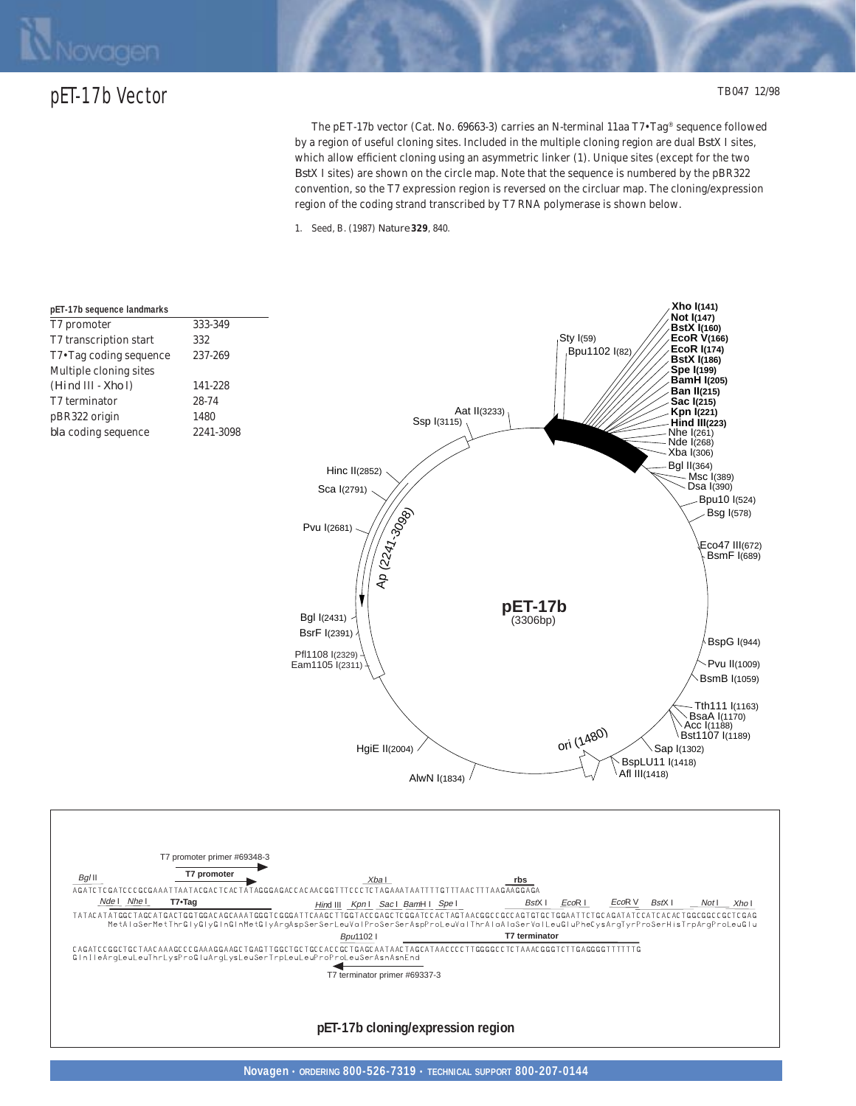## pET-17b Vector **TB047 12/98**

The pET-17b vector (Cat. No. 69663-3) carries an N-terminal 11aa T7•Tag® sequence followed by a region of useful cloning sites. Included in the multiple cloning region are dual *Bst*X I sites, which allow efficient cloning using an asymmetric linker (1). Unique sites (except for the two *Bst*X I sites) are shown on the circle map. Note that the sequence is numbered by the pBR322 convention, so the T7 expression region is reversed on the circluar map. The cloning/expression region of the coding strand transcribed by T7 RNA polymerase is shown below.

1. Seed, B. (1987) *Nature* **329**, 840.



**pET-17b cloning/expression region**